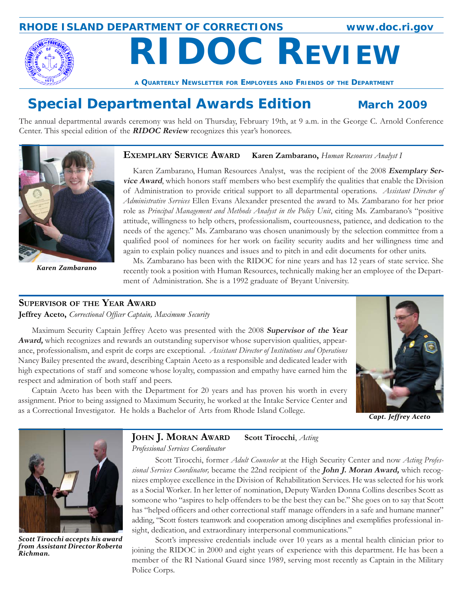### **RHODE ISLAND DEPARTMENT OF CORRECTIONS www.doc.ri.gov**

 **RIDOC REVIEW A QUARTERLY NEWSLETTER FOR EMPLOYEES AND FRIENDS OF THE DEPARTMENT**

# **Special Departmental Awards Edition March 2009**

The annual departmental awards ceremony was held on Thursday, February 19th, at 9 a.m. in the George C. Arnold Conference Center. This special edition of the **RIDOC Review** recognizes this year's honorees.

#### **EXEMPLARY SERVICE AWARD Karen Zambarano,** *Human Resources Analyst I*

Karen Zambarano, Human Resources Analyst, was the recipient of the 2008 **Exemplary Service Award**, which honors staff members who best exemplify the qualities that enable the Division of Administration to provide critical support to all departmental operations. *Assistant Director of Administrative Services* Ellen Evans Alexander presented the award to Ms. Zambarano for her prior role as *Principal Management and Methods Analyst in the Policy Unit*, citing Ms. Zambarano's "positive attitude, willingness to help others, professionalism, courteousness, patience, and dedication to the needs of the agency." Ms. Zambarano was chosen unanimously by the selection committee from a qualified pool of nominees for her work on facility security audits and her willingness time and again to explain policy nuances and issues and to pitch in and edit documents for other units.

Ms. Zambarano has been with the RIDOC for nine years and has 12 years of state service. She recently took a position with Human Resources, technically making her an employee of the Department of Administration. She is a 1992 graduate of Bryant University.

#### **SUPERVISOR OF THE YEAR AWARD**

**Jeffrey Aceto,** *Correctional Officer Captain, Maximum Security*

Maximum Security Captain Jeffrey Aceto was presented with the 2008 **Supervisor of the Year Award,** which recognizes and rewards an outstanding supervisor whose supervision qualities, appearance, professionalism, and esprit de corps are exceptional. *Assistant Director of Institutions and Operations* Nancy Bailey presented the award, describing Captain Aceto as a responsible and dedicated leader with high expectations of staff and someone whose loyalty, compassion and empathy have earned him the respect and admiration of both staff and peers.

Captain Aceto has been with the Department for 20 years and has proven his worth in every assignment. Prior to being assigned to Maximum Security, he worked at the Intake Service Center and as a Correctional Investigator. He holds a Bachelor of Arts from Rhode Island College. *Capt. Jeffrey Aceto*





*Scott Tirocchi accepts his award from Assistant Director Roberta Richman.*

# **JOHN J. MORAN AWARD Scott Tirocchi**, *Acting*

*Professional Services Coordinator*

Scott Tirocchi, former *Adult Counselor* at the High Security Center and now *Acting Professional Services Coordinator,* became the 22nd recipient of the **John J. Moran Award,** which recognizes employee excellence in the Division of Rehabilitation Services. He was selected for his work as a Social Worker. In her letter of nomination, Deputy Warden Donna Collins describes Scott as someone who "aspires to help offenders to be the best they can be." She goes on to say that Scott has "helped officers and other correctional staff manage offenders in a safe and humane manner" adding, "Scott fosters teamwork and cooperation among disciplines and exemplifies professional insight, dedication, and extraordinary interpersonal communications."

Scott's impressive credentials include over 10 years as a mental health clinician prior to joining the RIDOC in 2000 and eight years of experience with this department. He has been a member of the RI National Guard since 1989, serving most recently as Captain in the Military Police Corps.



*Karen Zambarano*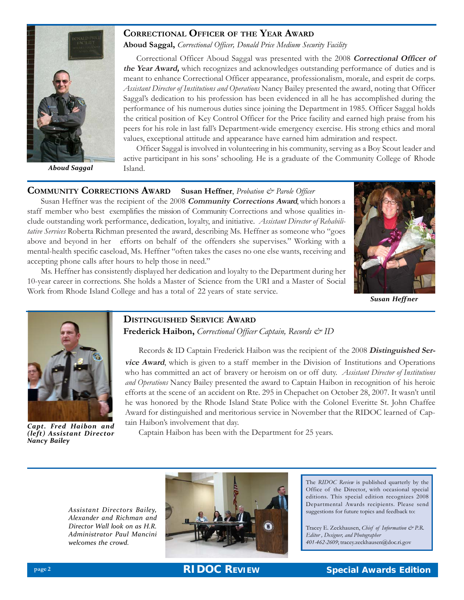

*Aboud Saggal*

#### **CORRECTIONAL OFFICER OF THE YEAR AWARD**

**Aboud Saggal,** *Correctional Officer, Donald Price Medium Security Facility*

Correctional Officer Aboud Saggal was presented with the 2008 **Correctional Officer of the Year Award,** which recognizes and acknowledges outstanding performance of duties and is meant to enhance Correctional Officer appearance, professionalism, morale, and esprit de corps. *Assistant Director of Institutions and Operations* Nancy Bailey presented the award, noting that Officer Saggal's dedication to his profession has been evidenced in all he has accomplished during the performance of his numerous duties since joining the Department in 1985. Officer Saggal holds the critical position of Key Control Officer for the Price facility and earned high praise from his peers for his role in last fall's Department-wide emergency exercise. His strong ethics and moral values, exceptional attitude and appearance have earned him admiration and respect.

Officer Saggal is involved in volunteering in his community, serving as a Boy Scout leader and active participant in his sons' schooling. He is a graduate of the Community College of Rhode Island.

#### **COMMUNITY CORRECTIONS AWARD Susan Heffner**, *Probation & Parole Officer*

Susan Heffner was the recipient of the 2008 **Community Corrections Award**, which honors a staff member who best exemplifies the mission of Community Corrections and whose qualities include outstanding work performance, dedication, loyalty, and initiative. *Assistant Director of Rehabilitative Services* Roberta Richman presented the award, describing Ms. Heffner as someone who "goes above and beyond in her efforts on behalf of the offenders she supervises." Working with a mental-health specific caseload, Ms. Heffner "often takes the cases no one else wants, receiving and accepting phone calls after hours to help those in need."

Ms. Heffner has consistently displayed her dedication and loyalty to the Department during her 10-year career in corrections. She holds a Master of Science from the URI and a Master of Social Work from Rhode Island College and has a total of 22 years of state service.



*Susan Heff ner*



*(left) Assistant Director Nancy Bailey*

#### **DISTINGUISHED SERVICE AWARD Frederick Haibon,** *Correctional Officer Captain, Records & ID*

Records & ID Captain Frederick Haibon was the recipient of the 2008 **Distinguished Service Award**, which is given to a staff member in the Division of Institutions and Operations who has committed an act of bravery or heroism on or off duty. *Assistant Director of Institutions and Operations* Nancy Bailey presented the award to Captain Haibon in recognition of his heroic efforts at the scene of an accident on Rte. 295 in Chepachet on October 28, 2007. It wasn't until he was honored by the Rhode Island State Police with the Colonel Everitte St. John Chaffee Award for distinguished and meritorious service in November that the RIDOC learned of Captain Haibon's involvement that day.

**Capt. Fred Haibon and** *Can Francis involvement that day***.**<br>(left) **Assistant Director** Captain Haibon has been with the Department for 25 years.

*Assistant Directors Bailey, Alexander and Richman and Director Wall look on as H.R. Administrator Paul Mancini welcomes the crowd.*



The *RIDOC Review* is published quarterly by the Office of the Director, with occasional special editions. This special edition recognizes 2008 Departmental Awards recipients. Please send suggestions for future topics and feedback to:

Tracey E. Zeckhausen, *Chief of Information & P.R. Editor , Designer, and Photographer 401-462-2609*; tracey.zeckhausen@doc.ri.gov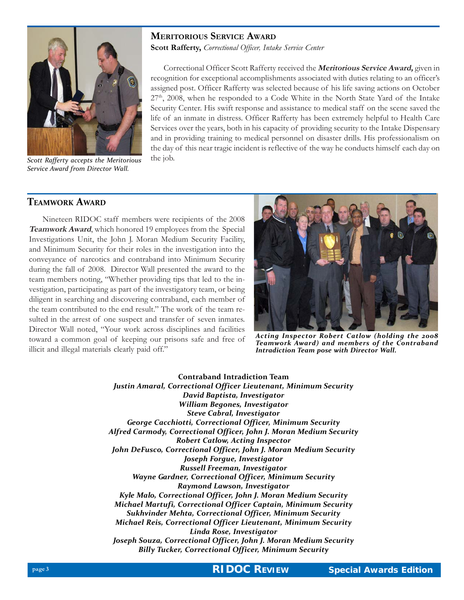### **MERITORIOUS SERVICE AWARD Scott Rafferty, Correctional Officer**, Intake Service Center



Correctional Officer Scott Rafferty received the **Meritorious Service Award,** given in recognition for exceptional accomplishments associated with duties relating to an officer's assigned post. Officer Rafferty was selected because of his life saving actions on October  $27<sup>th</sup>$ , 2008, when he responded to a Code White in the North State Yard of the Intake Security Center. His swift response and assistance to medical staff on the scene saved the life of an inmate in distress. Officer Rafferty has been extremely helpful to Health Care Services over the years, both in his capacity of providing security to the Intake Dispensary and in providing training to medical personnel on disaster drills. His professionalism on the day of this near tragic incident is reflective of the way he conducts himself each day on

**Scott Rafferty accepts the Meritorious** the job. *Service Award from Director Wall.*

#### **TEAMWORK AWARD**

Nineteen RIDOC staff members were recipients of the 2008 **Teamwork Award**, which honored 19 employees from the Special Investigations Unit, the John J. Moran Medium Security Facility, and Minimum Security for their roles in the investigation into the conveyance of narcotics and contraband into Minimum Security during the fall of 2008. Director Wall presented the award to the team members noting, "Whether providing tips that led to the investigation, participating as part of the investigatory team, or being diligent in searching and discovering contraband, each member of the team contributed to the end result." The work of the team resulted in the arrest of one suspect and transfer of seven inmates. Director Wall noted, "Your work across disciplines and facilities toward a common goal of keeping our prisons safe and free of illicit and illegal materials clearly paid off."



*Acting Inspector Robert Catlow (holding the 2008 Teamwork Award) and members of the Contraband Intradiction Team pose with Director Wall.*

**Contraband Intradiction Team** *Justin Amaral, Correctional Officer Lieutenant, Minimum Security David Baptista, Investigator William Begones, Investigator Steve Cabral, Investigator George Cacchiotti, Correctional Officer, Minimum Security Alfred Carmody, Correctional Officer, John J. Moran Medium Security Robert Catlow, Acting Inspector John DeFusco, Correctional Officer, John J. Moran Medium Security Joseph Forgue, Investigator Russell Freeman, Investigator Wayne Gardner, Correctional Officer, Minimum Security Raymond Lawson, Investigator Kyle Malo, Correctional Officer, John J. Moran Medium Security Michael Martufi, Correctional Officer Captain, Minimum Security Sukhvinder Mehta, Correctional Officer, Minimum Security Michael Reis, Correctional Officer Lieutenant, Minimum Security Linda Rose, Investigator Joseph Souza, Correctional Officer, John J. Moran Medium Security Billy Tucker, Correctional Officer, Minimum Security*